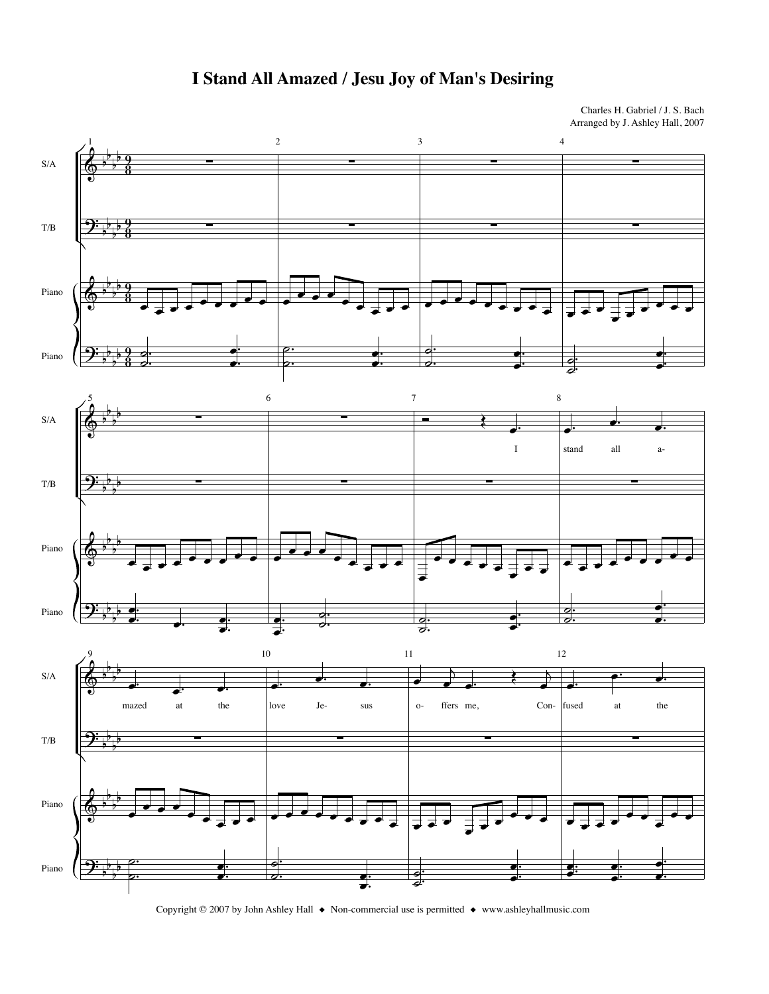

## I Stand All Amazed / Jesu Joy of Man's Desiring

Charles H. Gabriel / J. S. Bach Arranged by J. Ashley Hall, 2007

Copyright © 2007 by John Ashley Hall  $\bullet$  Non-commercial use is permitted  $\bullet$  www.ashleyhallmusic.com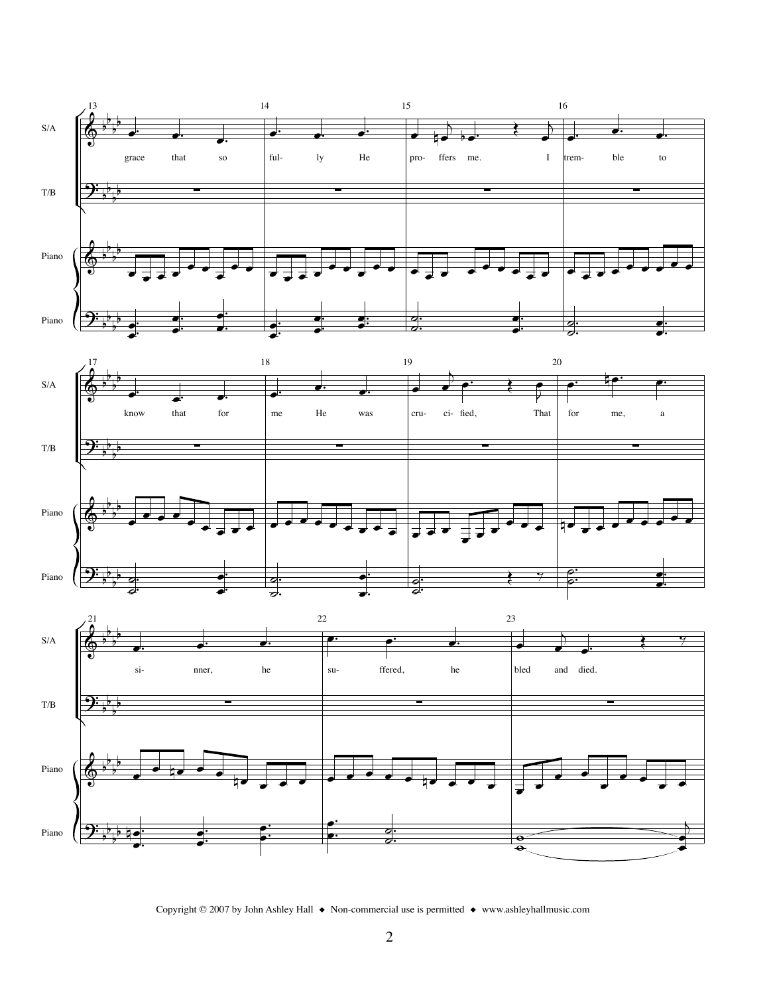





Copyright © 2007 by John Ashley Hall  $\bullet$  Non-commercial use is permitted  $\bullet$  www.ashleyhallmusic.com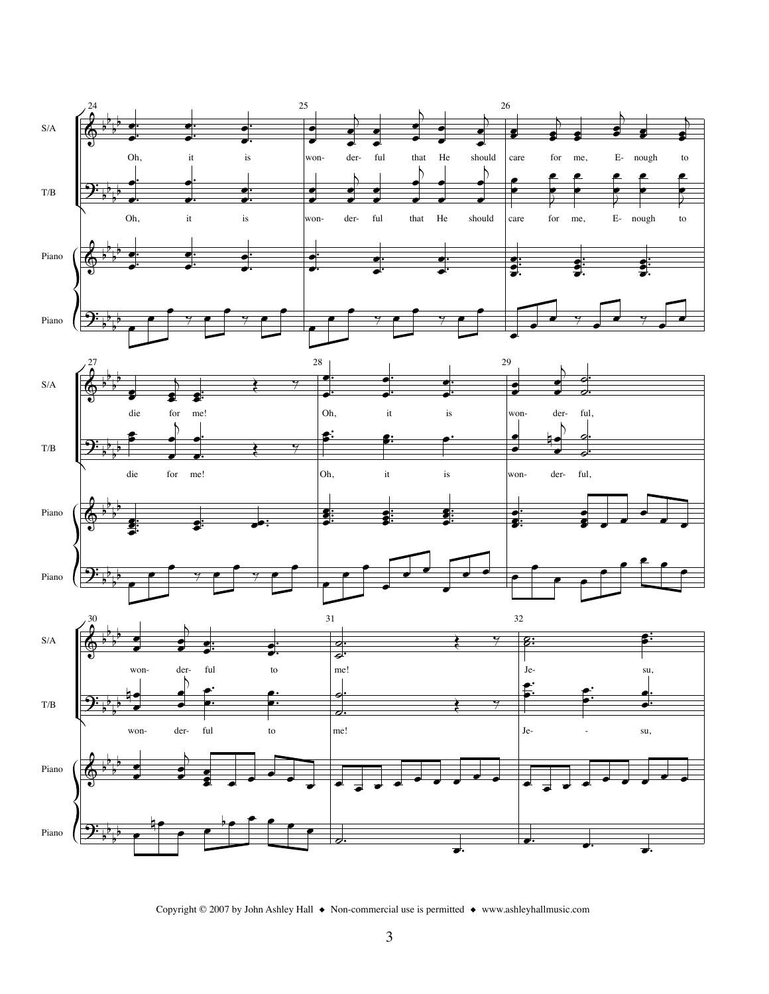

Copyright © 2007 by John Ashley Hall  $\;\blacklozenge\;$  Non-commercial use is permitted  $\;\blacklozenge\;$  www.ashleyhallmusic.com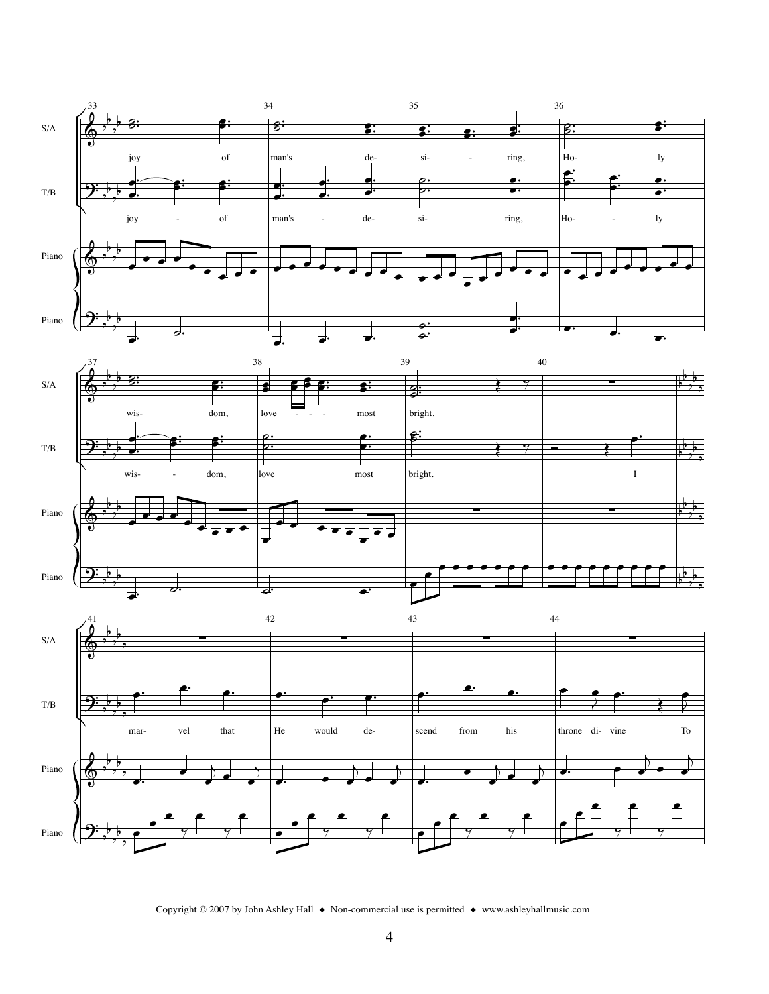

Copyright © 2007 by John Ashley Hall  $\bullet$  Non-commercial use is permitted  $\bullet$  www.ashleyhallmusic.com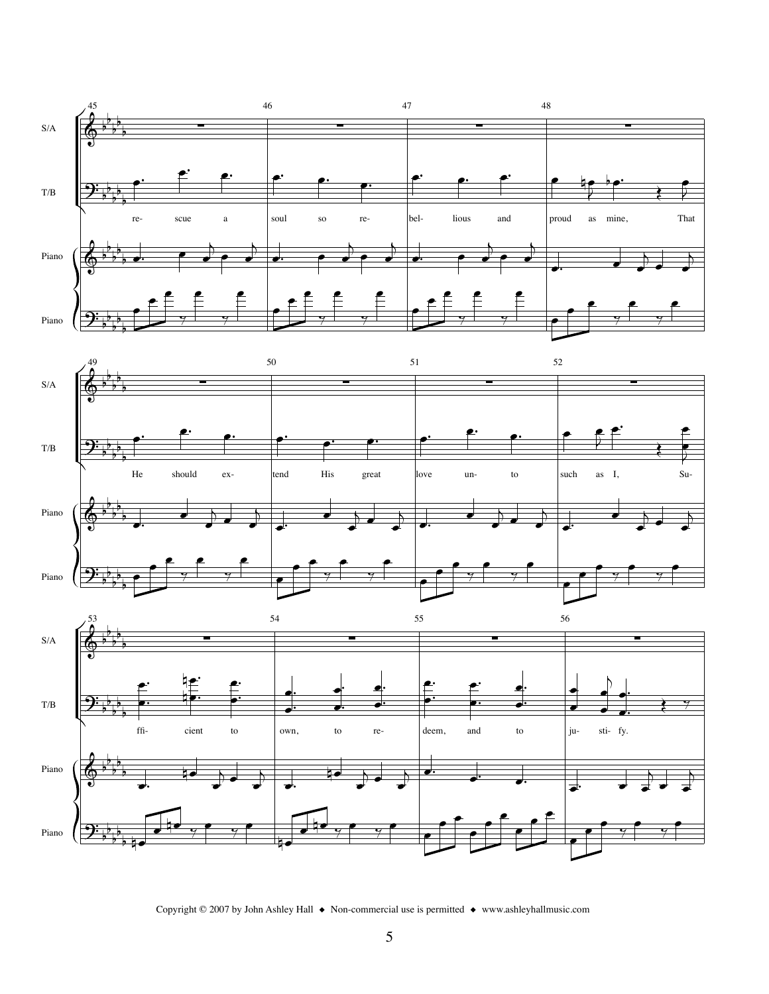





Copyright © 2007 by John Ashley Hall  $\bullet$  Non-commercial use is permitted  $\bullet$  www.ashleyhallmusic.com

5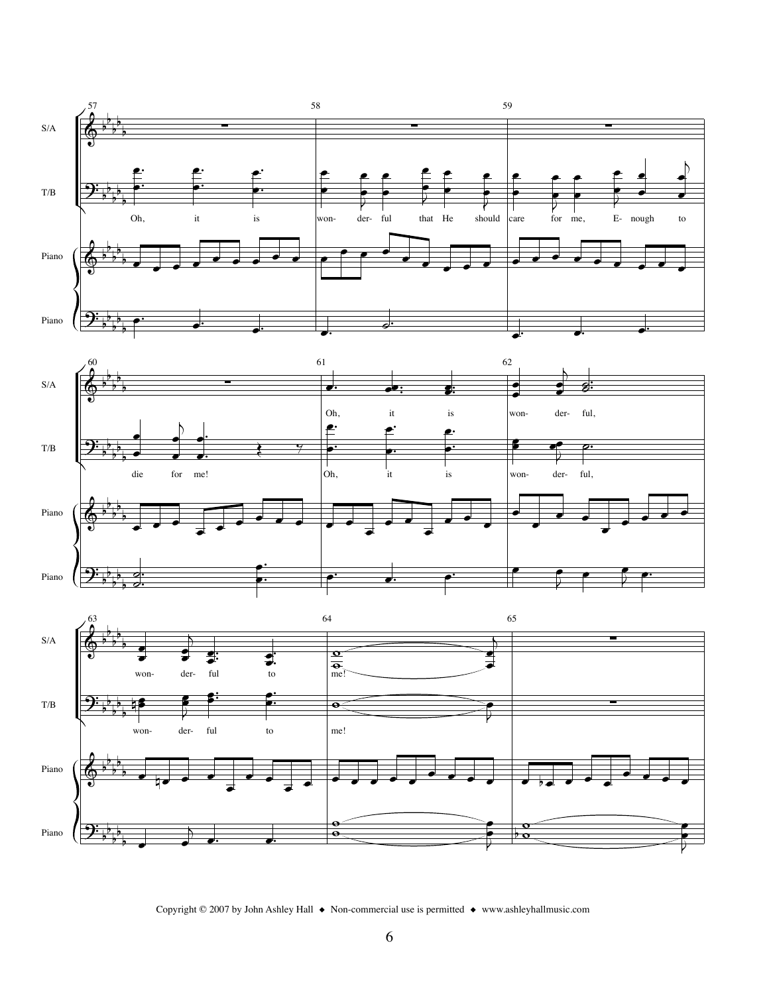





Copyright © 2007 by John Ashley Hall  $\bullet$  Non-commercial use is permitted  $\bullet$  www.ashleyhallmusic.com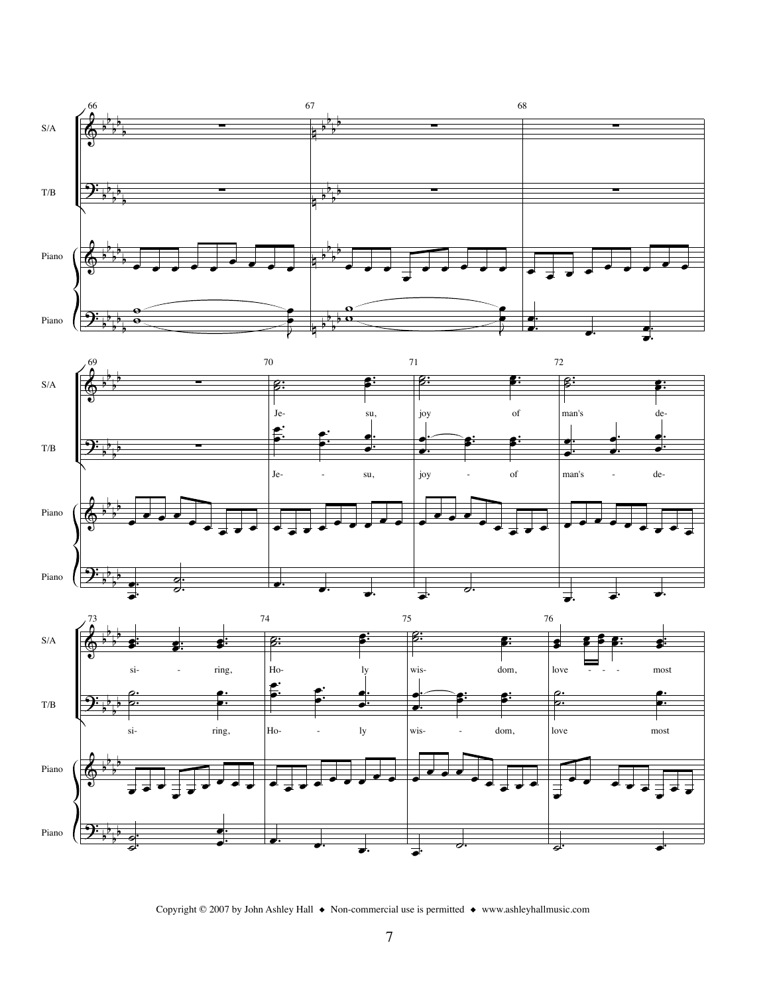





Copyright © 2007 by John Ashley Hall  $\bullet$  Non-commercial use is permitted  $\bullet$  www.ashleyhallmusic.com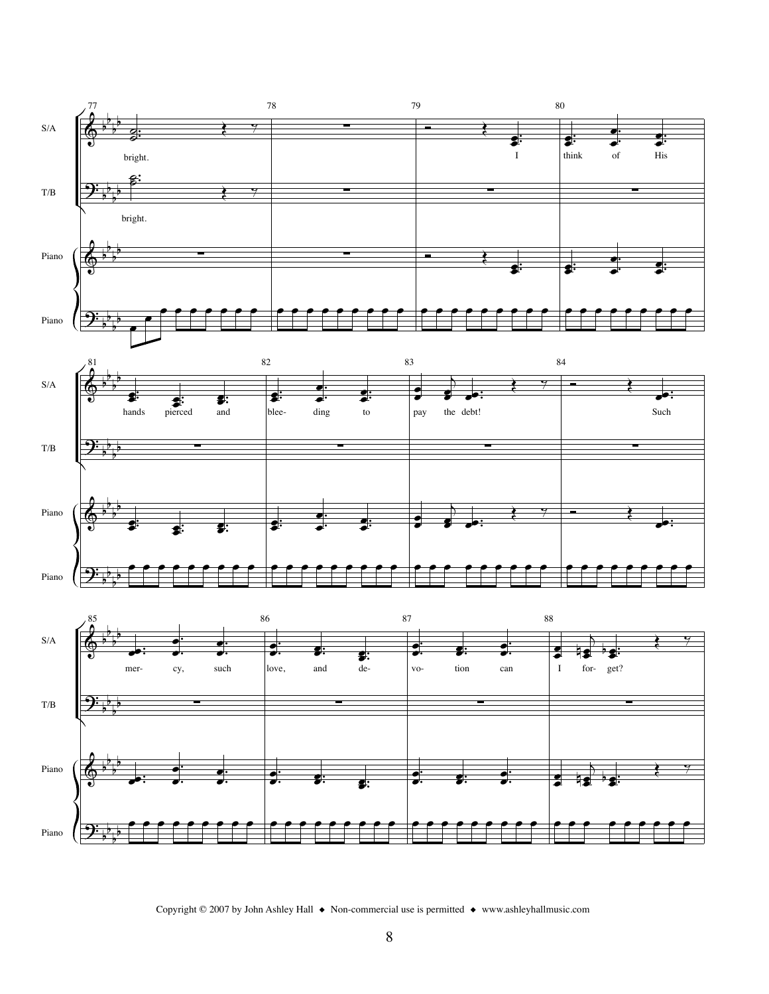

Copyright © 2007 by John Ashley Hall  $\bullet$  Non-commercial use is permitted  $\bullet$  www.ashleyhallmusic.com

Piano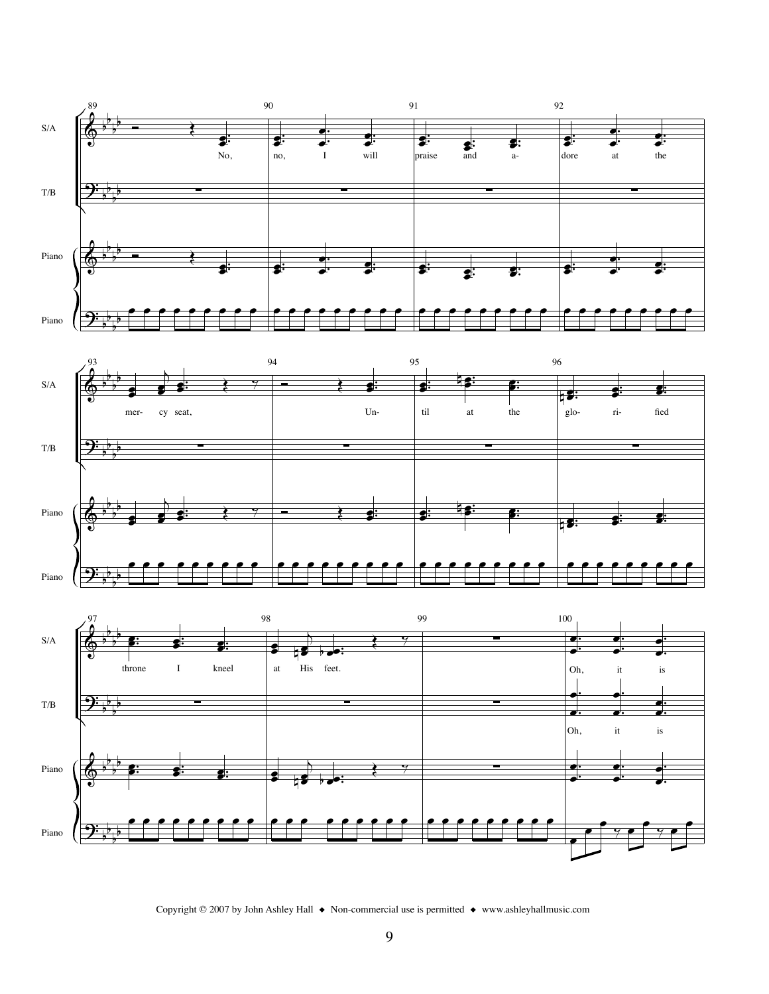





Copyright © 2007 by John Ashley Hall  $\bullet$  Non-commercial use is permitted  $\bullet$  www.ashleyhallmusic.com